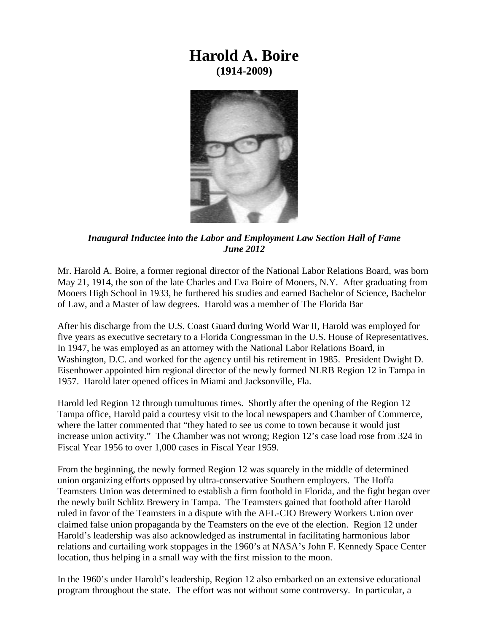## **Harold A. Boire (1914-2009)**



*Inaugural Inductee into the Labor and Employment Law Section Hall of Fame June 2012*

Mr. Harold A. Boire, a former regional director of the National Labor Relations Board, was born May 21, 1914, the son of the late Charles and Eva Boire of Mooers, N.Y. After graduating from Mooers High School in 1933, he furthered his studies and earned Bachelor of Science, Bachelor of Law, and a Master of law degrees. Harold was a member of The Florida Bar

After his discharge from the U.S. Coast Guard during World War II, Harold was employed for five years as executive secretary to a Florida Congressman in the U.S. House of Representatives. In 1947, he was employed as an attorney with the National Labor Relations Board, in Washington, D.C. and worked for the agency until his retirement in 1985. President Dwight D. Eisenhower appointed him regional director of the newly formed NLRB Region 12 in Tampa in 1957. Harold later opened offices in Miami and Jacksonville, Fla.

Harold led Region 12 through tumultuous times. Shortly after the opening of the Region 12 Tampa office, Harold paid a courtesy visit to the local newspapers and Chamber of Commerce, where the latter commented that "they hated to see us come to town because it would just increase union activity." The Chamber was not wrong; Region 12's case load rose from 324 in Fiscal Year 1956 to over 1,000 cases in Fiscal Year 1959.

From the beginning, the newly formed Region 12 was squarely in the middle of determined union organizing efforts opposed by ultra-conservative Southern employers. The Hoffa Teamsters Union was determined to establish a firm foothold in Florida, and the fight began over the newly built Schlitz Brewery in Tampa. The Teamsters gained that foothold after Harold ruled in favor of the Teamsters in a dispute with the AFL-CIO Brewery Workers Union over claimed false union propaganda by the Teamsters on the eve of the election. Region 12 under Harold's leadership was also acknowledged as instrumental in facilitating harmonious labor relations and curtailing work stoppages in the 1960's at NASA's John F. Kennedy Space Center location, thus helping in a small way with the first mission to the moon.

In the 1960's under Harold's leadership, Region 12 also embarked on an extensive educational program throughout the state. The effort was not without some controversy. In particular, a